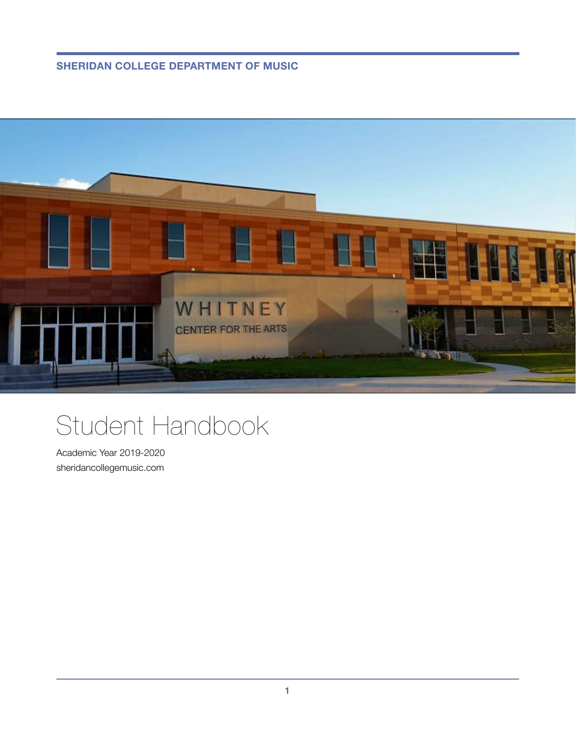**SHERIDAN COLLEGE DEPARTMENT OF MUSIC**



# Student Handbook

Academic Year 2019-2020 sheridancollegemusic.com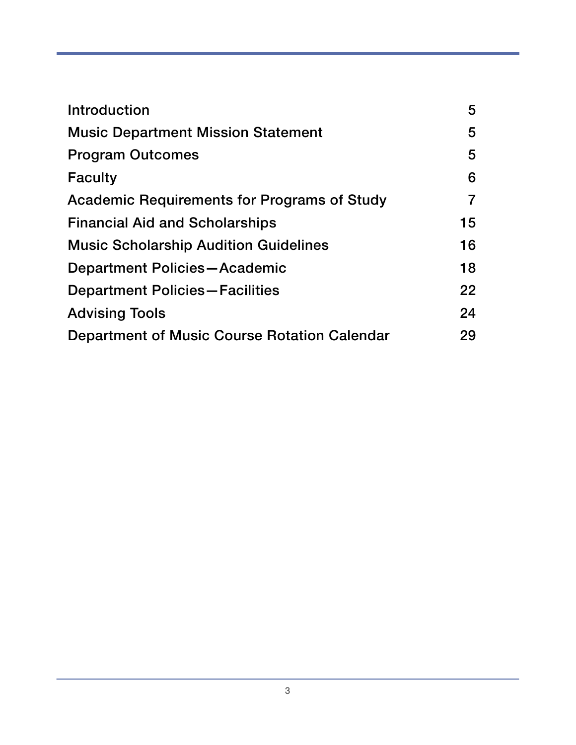| Introduction                                       | 5  |
|----------------------------------------------------|----|
| <b>Music Department Mission Statement</b>          | 5  |
| <b>Program Outcomes</b>                            | 5  |
| <b>Faculty</b>                                     | 6  |
| <b>Academic Requirements for Programs of Study</b> | 7  |
| <b>Financial Aid and Scholarships</b>              | 15 |
| <b>Music Scholarship Audition Guidelines</b>       | 16 |
| Department Policies-Academic                       | 18 |
| <b>Department Policies-Facilities</b>              | 22 |
| <b>Advising Tools</b>                              | 24 |
| Department of Music Course Rotation Calendar       | 29 |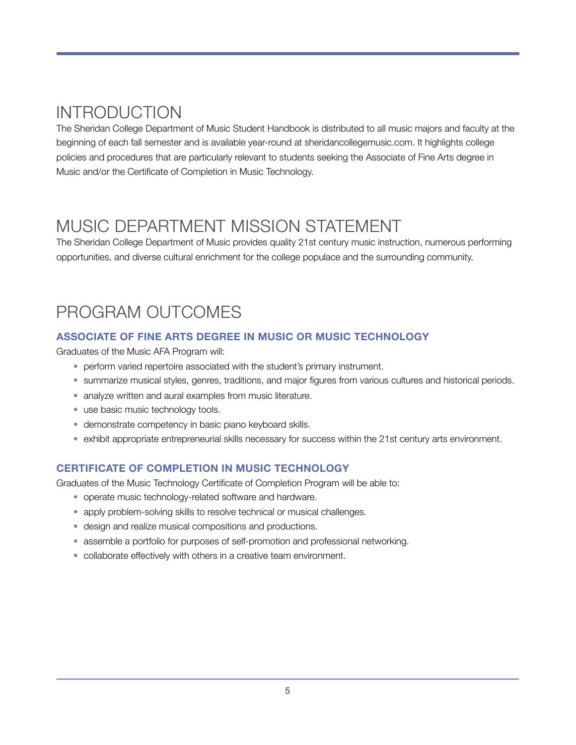# <span id="page-4-0"></span>INTRODUCTION

The Sheridan College Department of Music Student Handbook is distributed to all music majors and faculty at the beginning of each fall semester and is available year-round at sheridancollegemusic.com. It highlights college policies and procedures that are particularly relevant to students seeking the Associate of Fine Arts degree in Music and/or the Certificate of Completion in Music Technology.

# <span id="page-4-1"></span>MUSIC DEPARTMENT MISSION STATEMENT

The Sheridan College Department of Music provides quality 21st century music instruction, numerous performing opportunities, and diverse cultural enrichment for the college populace and the surrounding community.

# <span id="page-4-2"></span>PROGRAM OUTCOMES

### **ASSOCIATE OF FINE ARTS DEGREE IN MUSIC OR MUSIC TECHNOLOGY**

Graduates of the Music AFA Program will:

- perform varied repertoire associated with the student's primary instrument.
- summarize musical styles, genres, traditions, and major figures from various cultures and historical periods.
- analyze written and aural examples from music literature.
- use basic music technology tools.
- demonstrate competency in basic piano keyboard skills.
- exhibit appropriate entrepreneurial skills necessary for success within the 21st century arts environment.

### **CERTIFICATE OF COMPLETION IN MUSIC TECHNOLOGY**

Graduates of the Music Technology Certificate of Completion Program will be able to:

- operate music technology-related software and hardware.
- apply problem-solving skills to resolve technical or musical challenges.
- design and realize musical compositions and productions.
- assemble a portfolio for purposes of self-promotion and professional networking.
- collaborate effectively with others in a creative team environment.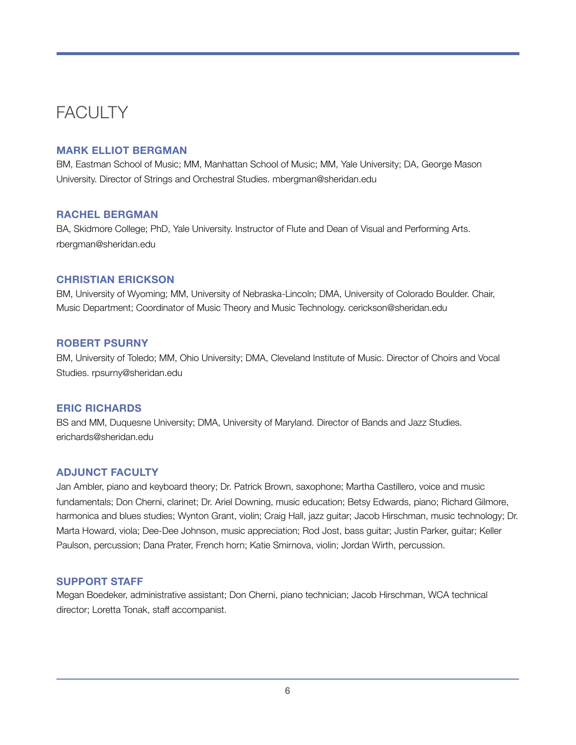# <span id="page-5-0"></span>**FACULTY**

#### **MARK ELLIOT BERGMAN**

BM, Eastman School of Music; MM, Manhattan School of Music; MM, Yale University; DA, George Mason University. Director of Strings and Orchestral Studies. mbergman@sheridan.edu

#### **RACHEL BERGMAN**

BA, Skidmore College; PhD, Yale University. Instructor of Flute and Dean of Visual and Performing Arts. rbergman@sheridan.edu

#### **CHRISTIAN ERICKSON**

BM, University of Wyoming; MM, University of Nebraska-Lincoln; DMA, University of Colorado Boulder. Chair, Music Department; Coordinator of Music Theory and Music Technology. cerickson@sheridan.edu

#### **ROBERT PSURNY**

BM, University of Toledo; MM, Ohio University; DMA, Cleveland Institute of Music. Director of Choirs and Vocal Studies. rpsurny@sheridan.edu

#### **ERIC RICHARDS**

BS and MM, Duquesne University; DMA, University of Maryland. Director of Bands and Jazz Studies. erichards@sheridan.edu

#### **ADJUNCT FACULTY**

Jan Ambler, piano and keyboard theory; Dr. Patrick Brown, saxophone; Martha Castillero, voice and music fundamentals; Don Cherni, clarinet; Dr. Ariel Downing, music education; Betsy Edwards, piano; Richard Gilmore, harmonica and blues studies; Wynton Grant, violin; Craig Hall, jazz guitar; Jacob Hirschman, music technology; Dr. Marta Howard, viola; Dee-Dee Johnson, music appreciation; Rod Jost, bass guitar; Justin Parker, guitar; Keller Paulson, percussion; Dana Prater, French horn; Katie Smirnova, violin; Jordan Wirth, percussion.

#### **SUPPORT STAFF**

Megan Boedeker, administrative assistant; Don Cherni, piano technician; Jacob Hirschman, WCA technical director; Loretta Tonak, staff accompanist.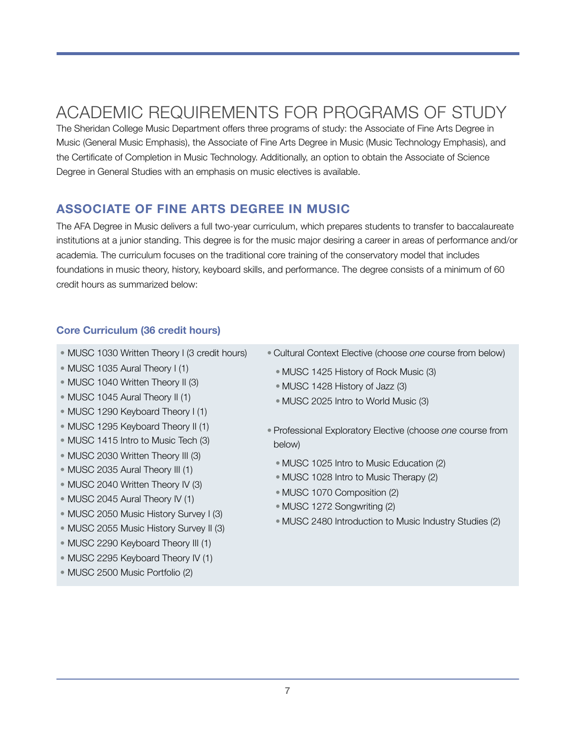# <span id="page-6-0"></span>ACADEMIC REQUIREMENTS FOR PROGRAMS OF STUDY

The Sheridan College Music Department offers three programs of study: the Associate of Fine Arts Degree in Music (General Music Emphasis), the Associate of Fine Arts Degree in Music (Music Technology Emphasis), and the Certificate of Completion in Music Technology. Additionally, an option to obtain the Associate of Science Degree in General Studies with an emphasis on music electives is available.

### **ASSOCIATE OF FINE ARTS DEGREE IN MUSIC**

The AFA Degree in Music delivers a full two-year curriculum, which prepares students to transfer to baccalaureate institutions at a junior standing. This degree is for the music major desiring a career in areas of performance and/or academia. The curriculum focuses on the traditional core training of the conservatory model that includes foundations in music theory, history, keyboard skills, and performance. The degree consists of a minimum of 60 credit hours as summarized below:

#### **Core Curriculum (36 credit hours)**

- MUSC 1030 Written Theory I (3 credit hours)
- MUSC 1035 Aural Theory I (1)
- MUSC 1040 Written Theory II (3)
- MUSC 1045 Aural Theory II (1)
- MUSC 1290 Keyboard Theory I (1)
- MUSC 1295 Keyboard Theory II (1)
- MUSC 1415 Intro to Music Tech (3)
- MUSC 2030 Written Theory III (3)
- MUSC 2035 Aural Theory III (1)
- MUSC 2040 Written Theory IV (3)
- MUSC 2045 Aural Theory IV (1)
- MUSC 2050 Music History Survey I (3)
- MUSC 2055 Music History Survey II (3)
- MUSC 2290 Keyboard Theory III (1)
- MUSC 2295 Keyboard Theory IV (1)
- MUSC 2500 Music Portfolio (2)
- Cultural Context Elective (choose *one* course from below)
	- MUSC 1425 History of Rock Music (3)
	- MUSC 1428 History of Jazz (3)
	- MUSC 2025 Intro to World Music (3)
- Professional Exploratory Elective (choose *one* course from below)
	- MUSC 1025 Intro to Music Education (2)
	- MUSC 1028 Intro to Music Therapy (2)
	- MUSC 1070 Composition (2)
	- MUSC 1272 Songwriting (2)
- MUSC 2480 Introduction to Music Industry Studies (2)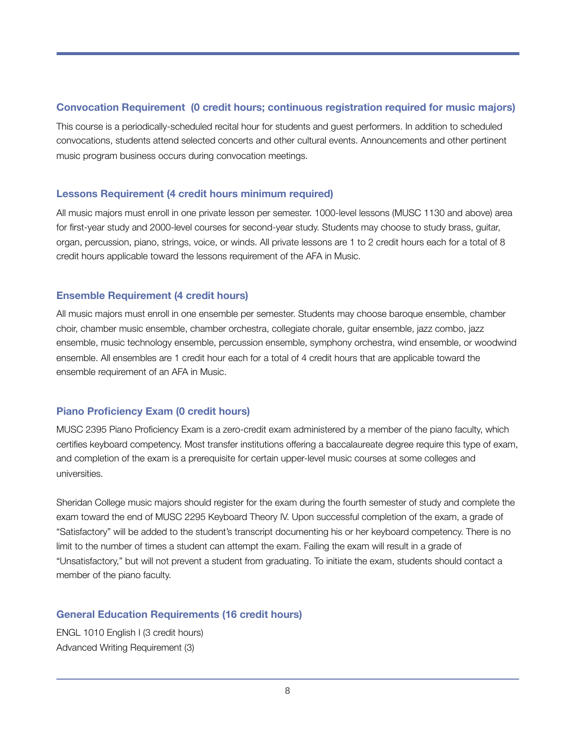#### **Convocation Requirement (0 credit hours; continuous registration required for music majors)**

This course is a periodically-scheduled recital hour for students and guest performers. In addition to scheduled convocations, students attend selected concerts and other cultural events. Announcements and other pertinent music program business occurs during convocation meetings.

#### **Lessons Requirement (4 credit hours minimum required)**

All music majors must enroll in one private lesson per semester. 1000-level lessons (MUSC 1130 and above) area for first-year study and 2000-level courses for second-year study. Students may choose to study brass, guitar, organ, percussion, piano, strings, voice, or winds. All private lessons are 1 to 2 credit hours each for a total of 8 credit hours applicable toward the lessons requirement of the AFA in Music.

#### **Ensemble Requirement (4 credit hours)**

All music majors must enroll in one ensemble per semester. Students may choose baroque ensemble, chamber choir, chamber music ensemble, chamber orchestra, collegiate chorale, guitar ensemble, jazz combo, jazz ensemble, music technology ensemble, percussion ensemble, symphony orchestra, wind ensemble, or woodwind ensemble. All ensembles are 1 credit hour each for a total of 4 credit hours that are applicable toward the ensemble requirement of an AFA in Music.

#### **Piano Proficiency Exam (0 credit hours)**

MUSC 2395 Piano Proficiency Exam is a zero-credit exam administered by a member of the piano faculty, which certifies keyboard competency. Most transfer institutions offering a baccalaureate degree require this type of exam, and completion of the exam is a prerequisite for certain upper-level music courses at some colleges and universities.

Sheridan College music majors should register for the exam during the fourth semester of study and complete the exam toward the end of MUSC 2295 Keyboard Theory IV. Upon successful completion of the exam, a grade of "Satisfactory" will be added to the student's transcript documenting his or her keyboard competency. There is no limit to the number of times a student can attempt the exam. Failing the exam will result in a grade of "Unsatisfactory," but will not prevent a student from graduating. To initiate the exam, students should contact a member of the piano faculty.

#### **General Education Requirements (16 credit hours)**

ENGL 1010 English I (3 credit hours) Advanced Writing Requirement (3)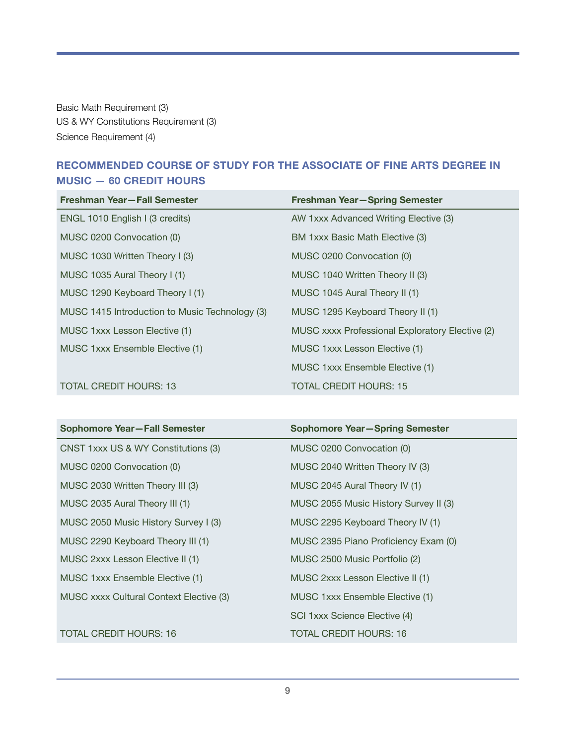Basic Math Requirement (3) US & WY Constitutions Requirement (3) Science Requirement (4)

### **RECOMMENDED COURSE OF STUDY FOR THE ASSOCIATE OF FINE ARTS DEGREE IN MUSIC — 60 CREDIT HOURS**

| Freshman Year-Fall Semester                    | Freshman Year-Spring Semester                   |
|------------------------------------------------|-------------------------------------------------|
| ENGL 1010 English I (3 credits)                | AW 1xxx Advanced Writing Elective (3)           |
| MUSC 0200 Convocation (0)                      | BM 1xxx Basic Math Elective (3)                 |
| MUSC 1030 Written Theory I (3)                 | MUSC 0200 Convocation (0)                       |
| MUSC 1035 Aural Theory I (1)                   | MUSC 1040 Written Theory II (3)                 |
| MUSC 1290 Keyboard Theory I (1)                | MUSC 1045 Aural Theory II (1)                   |
| MUSC 1415 Introduction to Music Technology (3) | MUSC 1295 Keyboard Theory II (1)                |
| MUSC 1xxx Lesson Elective (1)                  | MUSC xxxx Professional Exploratory Elective (2) |
| MUSC 1xxx Ensemble Elective (1)                | MUSC 1xxx Lesson Elective (1)                   |
|                                                | MUSC 1xxx Ensemble Elective (1)                 |
| <b>TOTAL CREDIT HOURS: 13</b>                  | <b>TOTAL CREDIT HOURS: 15</b>                   |

| Sophomore Year-Fall Semester            | <b>Sophomore Year-Spring Semester</b> |
|-----------------------------------------|---------------------------------------|
| CNST 1xxx US & WY Constitutions (3)     | MUSC 0200 Convocation (0)             |
| MUSC 0200 Convocation (0)               | MUSC 2040 Written Theory IV (3)       |
| MUSC 2030 Written Theory III (3)        | MUSC 2045 Aural Theory IV (1)         |
| MUSC 2035 Aural Theory III (1)          | MUSC 2055 Music History Survey II (3) |
| MUSC 2050 Music History Survey I (3)    | MUSC 2295 Keyboard Theory IV (1)      |
| MUSC 2290 Keyboard Theory III (1)       | MUSC 2395 Piano Proficiency Exam (0)  |
| MUSC 2xxx Lesson Elective II (1)        | MUSC 2500 Music Portfolio (2)         |
| MUSC 1xxx Ensemble Elective (1)         | MUSC 2xxx Lesson Elective II (1)      |
| MUSC xxxx Cultural Context Elective (3) | MUSC 1xxx Ensemble Elective (1)       |
|                                         | SCI 1xxx Science Elective (4)         |
| <b>TOTAL CREDIT HOURS: 16</b>           | TOTAL CREDIT HOURS: 16                |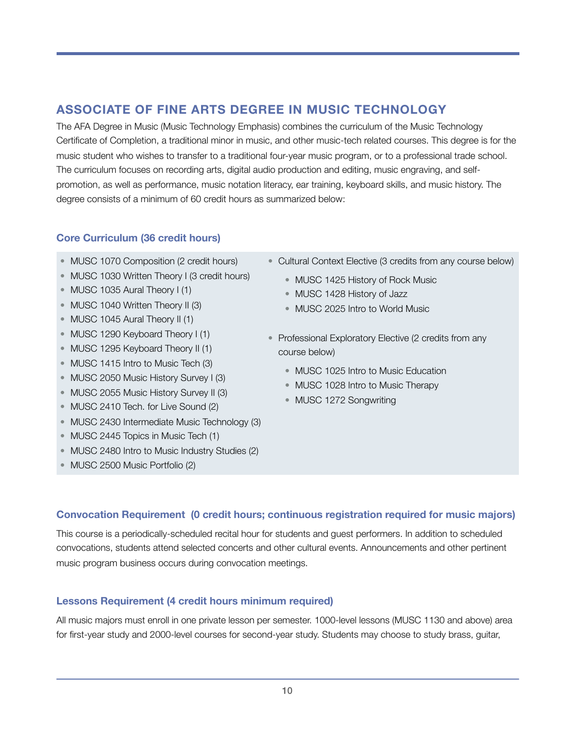## **ASSOCIATE OF FINE ARTS DEGREE IN MUSIC TECHNOLOGY**

The AFA Degree in Music (Music Technology Emphasis) combines the curriculum of the Music Technology Certificate of Completion, a traditional minor in music, and other music-tech related courses. This degree is for the music student who wishes to transfer to a traditional four-year music program, or to a professional trade school. The curriculum focuses on recording arts, digital audio production and editing, music engraving, and selfpromotion, as well as performance, music notation literacy, ear training, keyboard skills, and music history. The degree consists of a minimum of 60 credit hours as summarized below:

#### **Core Curriculum (36 credit hours)**

- MUSC 1070 Composition (2 credit hours)
- MUSC 1030 Written Theory I (3 credit hours)
- MUSC 1035 Aural Theory I (1)
- MUSC 1040 Written Theory II (3)
- MUSC 1045 Aural Theory II (1)
- MUSC 1290 Keyboard Theory I (1)
- MUSC 1295 Keyboard Theory II (1)
- MUSC 1415 Intro to Music Tech (3)
- MUSC 2050 Music History Survey I (3)
- MUSC 2055 Music History Survey II (3)
- MUSC 2410 Tech. for Live Sound (2)
- MUSC 2430 Intermediate Music Technology (3)
- MUSC 2445 Topics in Music Tech (1)
- MUSC 2480 Intro to Music Industry Studies (2)
- MUSC 2500 Music Portfolio (2)
- Cultural Context Elective (3 credits from any course below)
	- MUSC 1425 History of Rock Music
	- MUSC 1428 History of Jazz
	- MUSC 2025 Intro to World Music
- Professional Exploratory Elective (2 credits from any course below)
	- MUSC 1025 Intro to Music Education
	- MUSC 1028 Intro to Music Therapy
	- MUSC 1272 Songwriting

#### **Convocation Requirement (0 credit hours; continuous registration required for music majors)**

This course is a periodically-scheduled recital hour for students and guest performers. In addition to scheduled convocations, students attend selected concerts and other cultural events. Announcements and other pertinent music program business occurs during convocation meetings.

#### **Lessons Requirement (4 credit hours minimum required)**

All music majors must enroll in one private lesson per semester. 1000-level lessons (MUSC 1130 and above) area for first-year study and 2000-level courses for second-year study. Students may choose to study brass, guitar,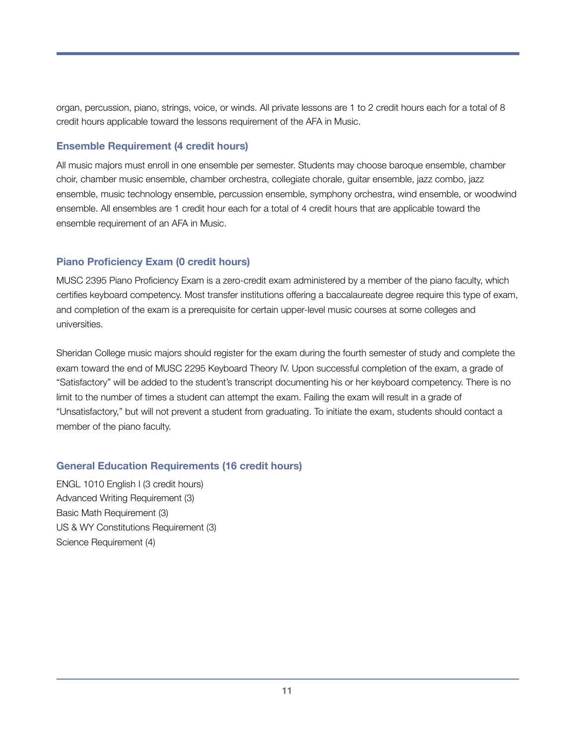organ, percussion, piano, strings, voice, or winds. All private lessons are 1 to 2 credit hours each for a total of 8 credit hours applicable toward the lessons requirement of the AFA in Music.

#### **Ensemble Requirement (4 credit hours)**

All music majors must enroll in one ensemble per semester. Students may choose baroque ensemble, chamber choir, chamber music ensemble, chamber orchestra, collegiate chorale, guitar ensemble, jazz combo, jazz ensemble, music technology ensemble, percussion ensemble, symphony orchestra, wind ensemble, or woodwind ensemble. All ensembles are 1 credit hour each for a total of 4 credit hours that are applicable toward the ensemble requirement of an AFA in Music.

#### **Piano Proficiency Exam (0 credit hours)**

MUSC 2395 Piano Proficiency Exam is a zero-credit exam administered by a member of the piano faculty, which certifies keyboard competency. Most transfer institutions offering a baccalaureate degree require this type of exam, and completion of the exam is a prerequisite for certain upper-level music courses at some colleges and universities.

Sheridan College music majors should register for the exam during the fourth semester of study and complete the exam toward the end of MUSC 2295 Keyboard Theory IV. Upon successful completion of the exam, a grade of "Satisfactory" will be added to the student's transcript documenting his or her keyboard competency. There is no limit to the number of times a student can attempt the exam. Failing the exam will result in a grade of "Unsatisfactory," but will not prevent a student from graduating. To initiate the exam, students should contact a member of the piano faculty.

#### **General Education Requirements (16 credit hours)**

ENGL 1010 English I (3 credit hours) Advanced Writing Requirement (3) Basic Math Requirement (3) US & WY Constitutions Requirement (3) Science Requirement (4)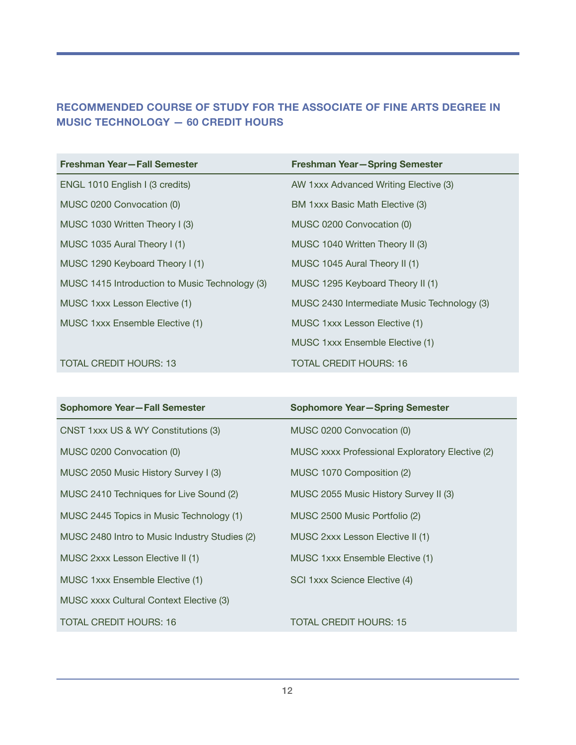### **RECOMMENDED COURSE OF STUDY FOR THE ASSOCIATE OF FINE ARTS DEGREE IN MUSIC TECHNOLOGY — 60 CREDIT HOURS**

| Freshman Year-Fall Semester                    | Freshman Year-Spring Semester               |
|------------------------------------------------|---------------------------------------------|
| ENGL 1010 English I (3 credits)                | AW 1xxx Advanced Writing Elective (3)       |
| MUSC 0200 Convocation (0)                      | BM 1xxx Basic Math Elective (3)             |
| MUSC 1030 Written Theory I (3)                 | MUSC 0200 Convocation (0)                   |
| MUSC 1035 Aural Theory I (1)                   | MUSC 1040 Written Theory II (3)             |
| MUSC 1290 Keyboard Theory I (1)                | MUSC 1045 Aural Theory II (1)               |
| MUSC 1415 Introduction to Music Technology (3) | MUSC 1295 Keyboard Theory II (1)            |
| MUSC 1xxx Lesson Elective (1)                  | MUSC 2430 Intermediate Music Technology (3) |
| MUSC 1xxx Ensemble Elective (1)                | MUSC 1xxx Lesson Elective (1)               |
|                                                | MUSC 1xxx Ensemble Elective (1)             |
| <b>TOTAL CREDIT HOURS: 13</b>                  | <b>TOTAL CREDIT HOURS: 16</b>               |

| Sophomore Year-Fall Semester                  | <b>Sophomore Year-Spring Semester</b>           |
|-----------------------------------------------|-------------------------------------------------|
| CNST 1xxx US & WY Constitutions (3)           | MUSC 0200 Convocation (0)                       |
| MUSC 0200 Convocation (0)                     | MUSC xxxx Professional Exploratory Elective (2) |
| MUSC 2050 Music History Survey I (3)          | MUSC 1070 Composition (2)                       |
| MUSC 2410 Techniques for Live Sound (2)       | MUSC 2055 Music History Survey II (3)           |
| MUSC 2445 Topics in Music Technology (1)      | MUSC 2500 Music Portfolio (2)                   |
| MUSC 2480 Intro to Music Industry Studies (2) | MUSC 2xxx Lesson Elective II (1)                |
| MUSC 2xxx Lesson Elective II (1)              | MUSC 1xxx Ensemble Elective (1)                 |
| MUSC 1xxx Ensemble Elective (1)               | SCI 1xxx Science Elective (4)                   |
| MUSC xxxx Cultural Context Elective (3)       |                                                 |
| <b>TOTAL CREDIT HOURS: 16</b>                 | <b>TOTAL CREDIT HOURS: 15</b>                   |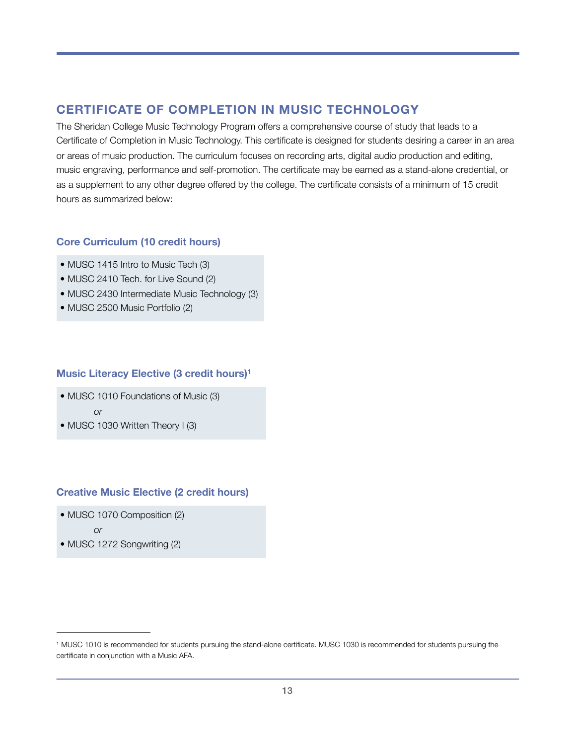### **CERTIFICATE OF COMPLETION IN MUSIC TECHNOLOGY**

The Sheridan College Music Technology Program offers a comprehensive course of study that leads to a Certificate of Completion in Music Technology. This certificate is designed for students desiring a career in an area or areas of music production. The curriculum focuses on recording arts, digital audio production and editing, music engraving, performance and self-promotion. The certificate may be earned as a stand-alone credential, or as a supplement to any other degree offered by the college. The certificate consists of a minimum of 15 credit hours as summarized below:

#### **Core Curriculum (10 credit hours)**

- MUSC 1415 Intro to Music Tech (3)
- MUSC 2410 Tech. for Live Sound (2)
- MUSC 2430 Intermediate Music Technology (3)
- MUSC 2500 Music Portfolio (2)

#### **Music Literacy Elective (3 credit hours[\)1](#page-12-0)**

- <span id="page-12-1"></span>• MUSC 1010 Foundations of Music (3)
	- *or*
- MUSC 1030 Written Theory I (3)

### **Creative Music Elective (2 credit hours)**

- MUSC 1070 Composition (2)
	- *or*
- MUSC 1272 Songwriting (2)

<span id="page-12-0"></span><sup>&</sup>lt;sup>1</sup>MUSC [1](#page-12-1)010 is recommended for students pursuing the stand-alone certificate. MUSC 1030 is recommended for students pursuing the certificate in conjunction with a Music AFA.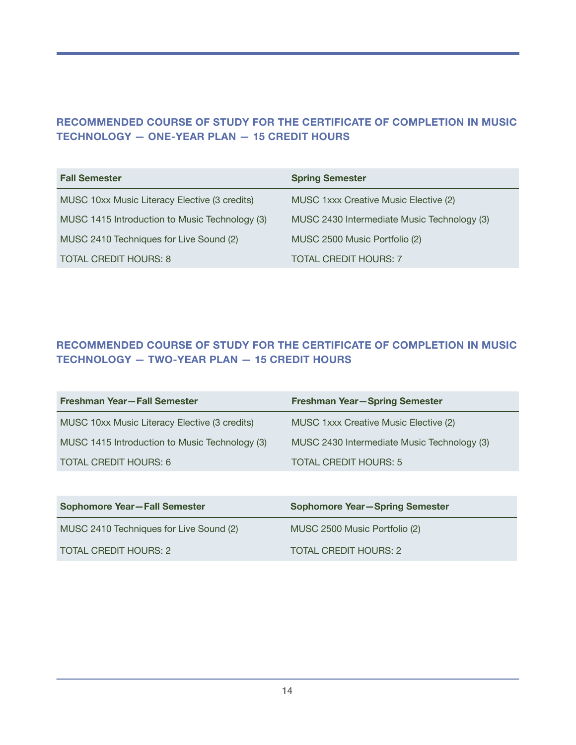### **RECOMMENDED COURSE OF STUDY FOR THE CERTIFICATE OF COMPLETION IN MUSIC TECHNOLOGY — ONE-YEAR PLAN — 15 CREDIT HOURS**

| <b>Fall Semester</b>                           | <b>Spring Semester</b>                      |
|------------------------------------------------|---------------------------------------------|
| MUSC 10xx Music Literacy Elective (3 credits)  | MUSC 1xxx Creative Music Elective (2)       |
| MUSC 1415 Introduction to Music Technology (3) | MUSC 2430 Intermediate Music Technology (3) |
| MUSC 2410 Techniques for Live Sound (2)        | MUSC 2500 Music Portfolio (2)               |
| <b>TOTAL CREDIT HOURS: 8</b>                   | <b>TOTAL CREDIT HOURS: 7</b>                |

### **RECOMMENDED COURSE OF STUDY FOR THE CERTIFICATE OF COMPLETION IN MUSIC TECHNOLOGY — TWO-YEAR PLAN — 15 CREDIT HOURS**

| Freshman Year-Fall Semester                    | <b>Freshman Year-Spring Semester</b>        |
|------------------------------------------------|---------------------------------------------|
| MUSC 10xx Music Literacy Elective (3 credits)  | MUSC 1xxx Creative Music Elective (2)       |
| MUSC 1415 Introduction to Music Technology (3) | MUSC 2430 Intermediate Music Technology (3) |
| <b>TOTAL CREDIT HOURS: 6</b>                   | <b>TOTAL CREDIT HOURS: 5</b>                |

| <b>Sophomore Year-Fall Semester</b>     | <b>Sophomore Year-Spring Semester</b> |  |  |  |
|-----------------------------------------|---------------------------------------|--|--|--|
| MUSC 2410 Techniques for Live Sound (2) | MUSC 2500 Music Portfolio (2)         |  |  |  |
| TOTAL CREDIT HOURS: 2                   | TOTAL CREDIT HOURS: 2                 |  |  |  |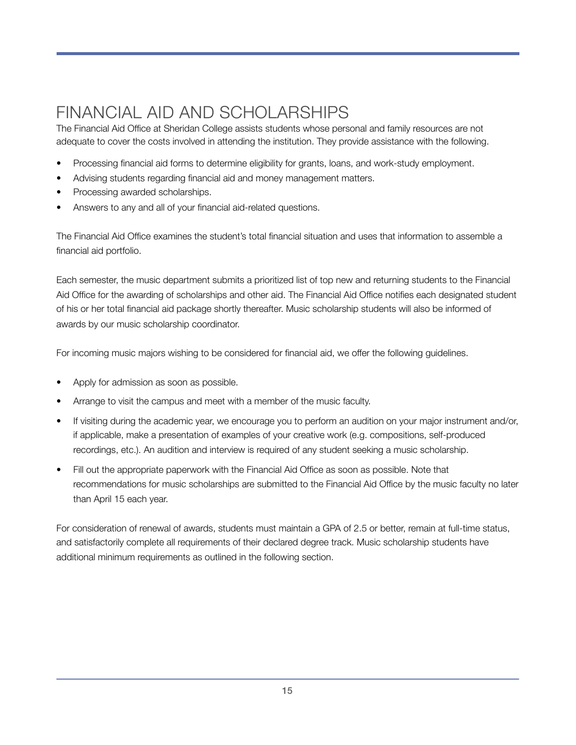# <span id="page-14-0"></span>FINANCIAL AID AND SCHOLARSHIPS

The Financial Aid Office at Sheridan College assists students whose personal and family resources are not adequate to cover the costs involved in attending the institution. They provide assistance with the following.

- Processing financial aid forms to determine eligibility for grants, loans, and work-study employment.
- Advising students regarding financial aid and money management matters.
- Processing awarded scholarships.
- Answers to any and all of your financial aid-related questions.

The Financial Aid Office examines the student's total financial situation and uses that information to assemble a financial aid portfolio.

Each semester, the music department submits a prioritized list of top new and returning students to the Financial Aid Office for the awarding of scholarships and other aid. The Financial Aid Office notifies each designated student of his or her total financial aid package shortly thereafter. Music scholarship students will also be informed of awards by our music scholarship coordinator.

For incoming music majors wishing to be considered for financial aid, we offer the following guidelines.

- Apply for admission as soon as possible.
- Arrange to visit the campus and meet with a member of the music faculty.
- If visiting during the academic year, we encourage you to perform an audition on your major instrument and/or, if applicable, make a presentation of examples of your creative work (e.g. compositions, self-produced recordings, etc.). An audition and interview is required of any student seeking a music scholarship.
- Fill out the appropriate paperwork with the Financial Aid Office as soon as possible. Note that recommendations for music scholarships are submitted to the Financial Aid Office by the music faculty no later than April 15 each year.

For consideration of renewal of awards, students must maintain a GPA of 2.5 or better, remain at full-time status, and satisfactorily complete all requirements of their declared degree track. Music scholarship students have additional minimum requirements as outlined in the following section.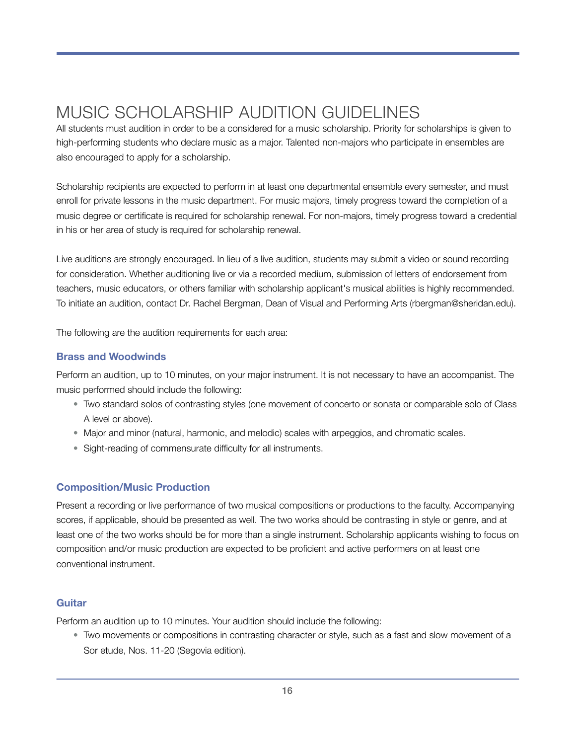# <span id="page-15-0"></span>MUSIC SCHOLARSHIP AUDITION GUIDELINES

All students must audition in order to be a considered for a music scholarship. Priority for scholarships is given to high-performing students who declare music as a major. Talented non-majors who participate in ensembles are also encouraged to apply for a scholarship.

Scholarship recipients are expected to perform in at least one departmental ensemble every semester, and must enroll for private lessons in the music department. For music majors, timely progress toward the completion of a music degree or certificate is required for scholarship renewal. For non-majors, timely progress toward a credential in his or her area of study is required for scholarship renewal.

Live auditions are strongly encouraged. In lieu of a live audition, students may submit a video or sound recording for consideration. Whether auditioning live or via a recorded medium, submission of letters of endorsement from teachers, music educators, or others familiar with scholarship applicant's musical abilities is highly recommended. To initiate an audition, contact Dr. Rachel Bergman, Dean of Visual and Performing Arts (rbergman@sheridan.edu).

The following are the audition requirements for each area:

#### **Brass and Woodwinds**

Perform an audition, up to 10 minutes, on your major instrument. It is not necessary to have an accompanist. The music performed should include the following:

- Two standard solos of contrasting styles (one movement of concerto or sonata or comparable solo of Class A level or above).
- Major and minor (natural, harmonic, and melodic) scales with arpeggios, and chromatic scales.
- Sight-reading of commensurate difficulty for all instruments.

#### **Composition/Music Production**

Present a recording or live performance of two musical compositions or productions to the faculty. Accompanying scores, if applicable, should be presented as well. The two works should be contrasting in style or genre, and at least one of the two works should be for more than a single instrument. Scholarship applicants wishing to focus on composition and/or music production are expected to be proficient and active performers on at least one conventional instrument.

#### **Guitar**

Perform an audition up to 10 minutes. Your audition should include the following:

• Two movements or compositions in contrasting character or style, such as a fast and slow movement of a Sor etude, Nos. 11-20 (Segovia edition).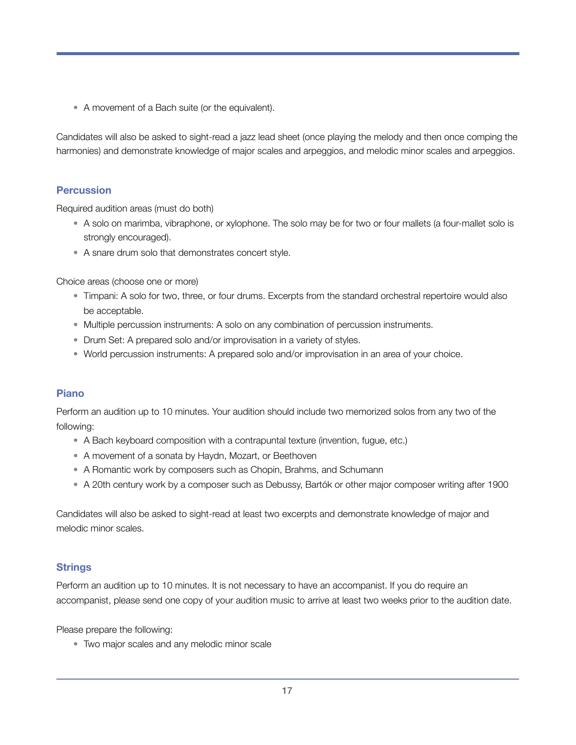• A movement of a Bach suite (or the equivalent).

Candidates will also be asked to sight-read a jazz lead sheet (once playing the melody and then once comping the harmonies) and demonstrate knowledge of major scales and arpeggios, and melodic minor scales and arpeggios.

#### **Percussion**

Required audition areas (must do both)

- A solo on marimba, vibraphone, or xylophone. The solo may be for two or four mallets (a four-mallet solo is strongly encouraged).
- A snare drum solo that demonstrates concert style.

Choice areas (choose one or more)

- Timpani: A solo for two, three, or four drums. Excerpts from the standard orchestral repertoire would also be acceptable.
- Multiple percussion instruments: A solo on any combination of percussion instruments.
- Drum Set: A prepared solo and/or improvisation in a variety of styles.
- World percussion instruments: A prepared solo and/or improvisation in an area of your choice.

#### **Piano**

Perform an audition up to 10 minutes. Your audition should include two memorized solos from any two of the following:

- A Bach keyboard composition with a contrapuntal texture (invention, fugue, etc.)
- A movement of a sonata by Haydn, Mozart, or Beethoven
- A Romantic work by composers such as Chopin, Brahms, and Schumann
- A 20th century work by a composer such as Debussy, Bartók or other major composer writing after 1900

Candidates will also be asked to sight-read at least two excerpts and demonstrate knowledge of major and melodic minor scales.

#### **Strings**

Perform an audition up to 10 minutes. It is not necessary to have an accompanist. If you do require an accompanist, please send one copy of your audition music to arrive at least two weeks prior to the audition date.

Please prepare the following:

• Two major scales and any melodic minor scale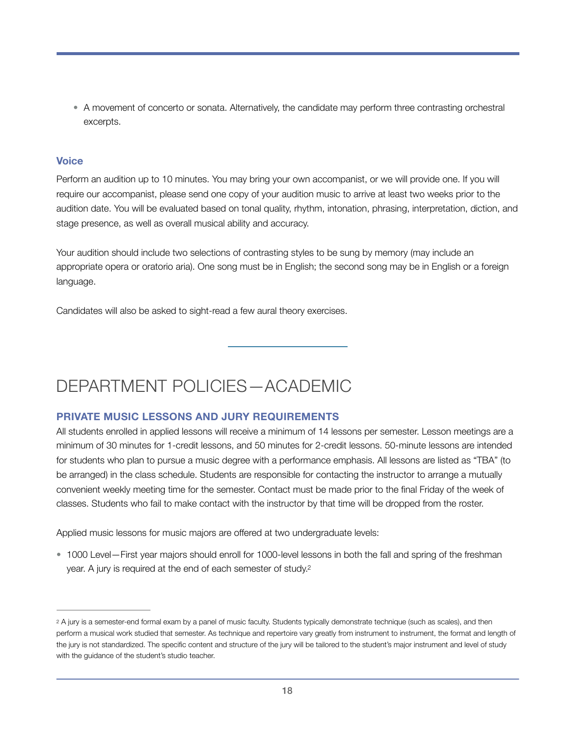• A movement of concerto or sonata. Alternatively, the candidate may perform three contrasting orchestral excerpts.

#### **Voice**

Perform an audition up to 10 minutes. You may bring your own accompanist, or we will provide one. If you will require our accompanist, please send one copy of your audition music to arrive at least two weeks prior to the audition date. You will be evaluated based on tonal quality, rhythm, intonation, phrasing, interpretation, diction, and stage presence, as well as overall musical ability and accuracy.

Your audition should include two selections of contrasting styles to be sung by memory (may include an appropriate opera or oratorio aria). One song must be in English; the second song may be in English or a foreign language.

Candidates will also be asked to sight-read a few aural theory exercises.

# <span id="page-17-0"></span>DEPARTMENT POLICIES—ACADEMIC

#### **PRIVATE MUSIC LESSONS AND JURY REQUIREMENTS**

All students enrolled in applied lessons will receive a minimum of 14 lessons per semester. Lesson meetings are a minimum of 30 minutes for 1-credit lessons, and 50 minutes for 2-credit lessons. 50-minute lessons are intended for students who plan to pursue a music degree with a performance emphasis. All lessons are listed as "TBA" (to be arranged) in the class schedule. Students are responsible for contacting the instructor to arrange a mutually convenient weekly meeting time for the semester. Contact must be made prior to the final Friday of the week of classes. Students who fail to make contact with the instructor by that time will be dropped from the roster.

Applied music lessons for music majors are offered at two undergraduate levels:

<span id="page-17-2"></span>• 1000 Level—First year majors should enroll for 1000-level lessons in both the fall and spring of the freshman year. A jury is required at the end of each semester of study[.2](#page-17-1)

<span id="page-17-1"></span>[<sup>2</sup>](#page-17-2) A jury is a semester-end formal exam by a panel of music faculty. Students typically demonstrate technique (such as scales), and then perform a musical work studied that semester. As technique and repertoire vary greatly from instrument to instrument, the format and length of the jury is not standardized. The specific content and structure of the jury will be tailored to the student's major instrument and level of study with the guidance of the student's studio teacher.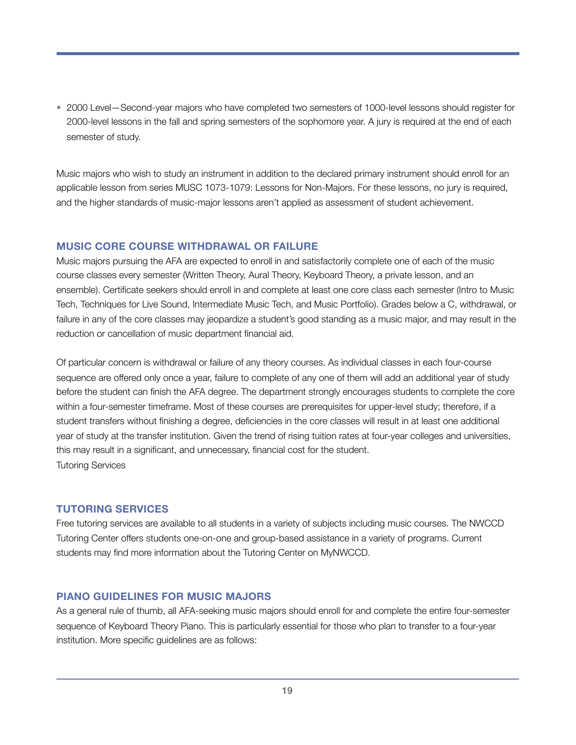• 2000 Level—Second-year majors who have completed two semesters of 1000-level lessons should register for 2000-level lessons in the fall and spring semesters of the sophomore year. A jury is required at the end of each semester of study.

Music majors who wish to study an instrument in addition to the declared primary instrument should enroll for an applicable lesson from series MUSC 1073-1079: Lessons for Non-Majors. For these lessons, no jury is required, and the higher standards of music-major lessons aren't applied as assessment of student achievement.

#### **MUSIC CORE COURSE WITHDRAWAL OR FAILURE**

Music majors pursuing the AFA are expected to enroll in and satisfactorily complete one of each of the music course classes every semester (Written Theory, Aural Theory, Keyboard Theory, a private lesson, and an ensemble). Certificate seekers should enroll in and complete at least one core class each semester (Intro to Music Tech, Techniques for Live Sound, Intermediate Music Tech, and Music Portfolio). Grades below a C, withdrawal, or failure in any of the core classes may jeopardize a student's good standing as a music major, and may result in the reduction or cancellation of music department financial aid.

Of particular concern is withdrawal or failure of any theory courses. As individual classes in each four-course sequence are offered only once a year, failure to complete of any one of them will add an additional year of study before the student can finish the AFA degree. The department strongly encourages students to complete the core within a four-semester timeframe. Most of these courses are prerequisites for upper-level study; therefore, if a student transfers without finishing a degree, deficiencies in the core classes will result in at least one additional year of study at the transfer institution. Given the trend of rising tuition rates at four-year colleges and universities, this may result in a significant, and unnecessary, financial cost for the student. Tutoring Services

#### **TUTORING SERVICES**

Free tutoring services are available to all students in a variety of subjects including music courses. The NWCCD Tutoring Center offers students one-on-one and group-based assistance in a variety of programs. Current students may find more information about the Tutoring Center on MyNWCCD.

#### **PIANO GUIDELINES FOR MUSIC MAJORS**

As a general rule of thumb, all AFA-seeking music majors should enroll for and complete the entire four-semester sequence of Keyboard Theory Piano. This is particularly essential for those who plan to transfer to a four-year institution. More specific guidelines are as follows: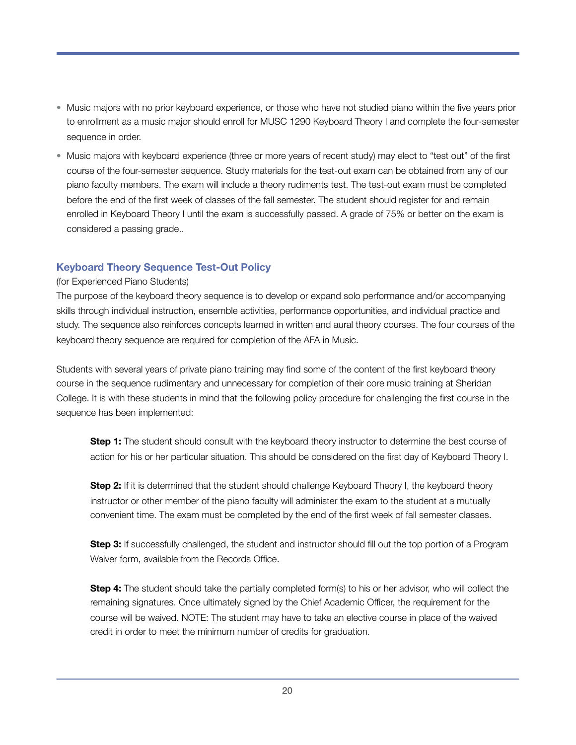- Music majors with no prior keyboard experience, or those who have not studied piano within the five years prior to enrollment as a music major should enroll for MUSC 1290 Keyboard Theory I and complete the four-semester sequence in order.
- Music majors with keyboard experience (three or more years of recent study) may elect to "test out" of the first course of the four-semester sequence. Study materials for the test-out exam can be obtained from any of our piano faculty members. The exam will include a theory rudiments test. The test-out exam must be completed before the end of the first week of classes of the fall semester. The student should register for and remain enrolled in Keyboard Theory I until the exam is successfully passed. A grade of 75% or better on the exam is considered a passing grade..

#### **Keyboard Theory Sequence Test-Out Policy**

#### (for Experienced Piano Students)

The purpose of the keyboard theory sequence is to develop or expand solo performance and/or accompanying skills through individual instruction, ensemble activities, performance opportunities, and individual practice and study. The sequence also reinforces concepts learned in written and aural theory courses. The four courses of the keyboard theory sequence are required for completion of the AFA in Music.

Students with several years of private piano training may find some of the content of the first keyboard theory course in the sequence rudimentary and unnecessary for completion of their core music training at Sheridan College. It is with these students in mind that the following policy procedure for challenging the first course in the sequence has been implemented:

**Step 1:** The student should consult with the keyboard theory instructor to determine the best course of action for his or her particular situation. This should be considered on the first day of Keyboard Theory I.

**Step 2:** If it is determined that the student should challenge Keyboard Theory I, the keyboard theory instructor or other member of the piano faculty will administer the exam to the student at a mutually convenient time. The exam must be completed by the end of the first week of fall semester classes.

**Step 3:** If successfully challenged, the student and instructor should fill out the top portion of a Program Waiver form, available from the Records Office.

**Step 4:** The student should take the partially completed form(s) to his or her advisor, who will collect the remaining signatures. Once ultimately signed by the Chief Academic Officer, the requirement for the course will be waived. NOTE: The student may have to take an elective course in place of the waived credit in order to meet the minimum number of credits for graduation.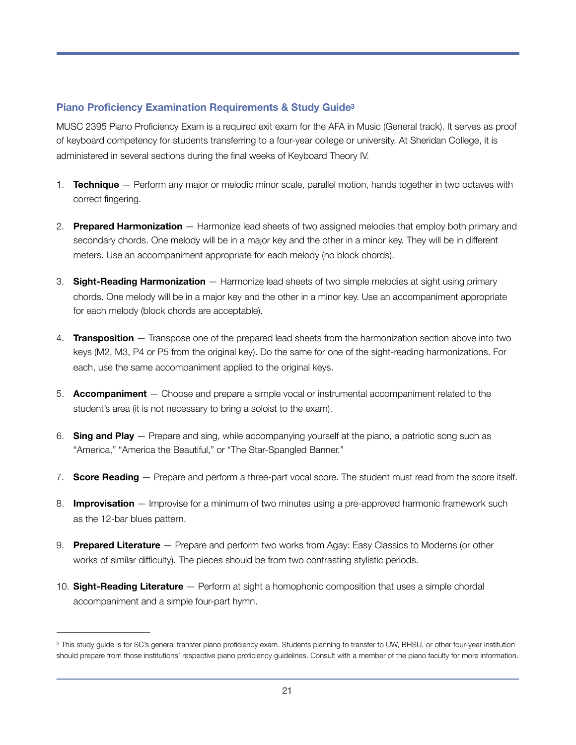#### <span id="page-20-1"></span>**Piano Proficiency Examination Requirements & Study Guid[e3](#page-20-0)**

MUSC 2395 Piano Proficiency Exam is a required exit exam for the AFA in Music (General track). It serves as proof of keyboard competency for students transferring to a four-year college or university. At Sheridan College, it is administered in several sections during the final weeks of Keyboard Theory IV.

- 1. **Technique** Perform any major or melodic minor scale, parallel motion, hands together in two octaves with correct fingering.
- 2. **Prepared Harmonization** Harmonize lead sheets of two assigned melodies that employ both primary and secondary chords. One melody will be in a major key and the other in a minor key. They will be in different meters. Use an accompaniment appropriate for each melody (no block chords).
- 3. **Sight-Reading Harmonization** Harmonize lead sheets of two simple melodies at sight using primary chords. One melody will be in a major key and the other in a minor key. Use an accompaniment appropriate for each melody (block chords are acceptable).
- 4. **Transposition** Transpose one of the prepared lead sheets from the harmonization section above into two keys (M2, M3, P4 or P5 from the original key). Do the same for one of the sight-reading harmonizations. For each, use the same accompaniment applied to the original keys.
- 5. **Accompaniment** Choose and prepare a simple vocal or instrumental accompaniment related to the student's area (it is not necessary to bring a soloist to the exam).
- 6. **Sing and Play** Prepare and sing, while accompanying yourself at the piano, a patriotic song such as "America," "America the Beautiful," or "The Star-Spangled Banner."
- 7. **Score Reading** Prepare and perform a three-part vocal score. The student must read from the score itself.
- 8. **Improvisation** Improvise for a minimum of two minutes using a pre-approved harmonic framework such as the 12-bar blues pattern.
- 9. **Prepared Literature** Prepare and perform two works from Agay: Easy Classics to Moderns (or other works of similar difficulty). The pieces should be from two contrasting stylistic periods.
- 10. **Sight-Reading Literature** Perform at sight a homophonic composition that uses a simple chordal accompaniment and a simple four-part hymn.

<span id="page-20-0"></span><sup>&</sup>lt;sup>3</sup>This study guide is for SC's general transfer piano proficiency exam. Students planning to transfer to UW, BHSU, or other four-year institution should prepare from those institutions' respective piano proficiency guidelines. Consult with a member of the piano faculty for more information.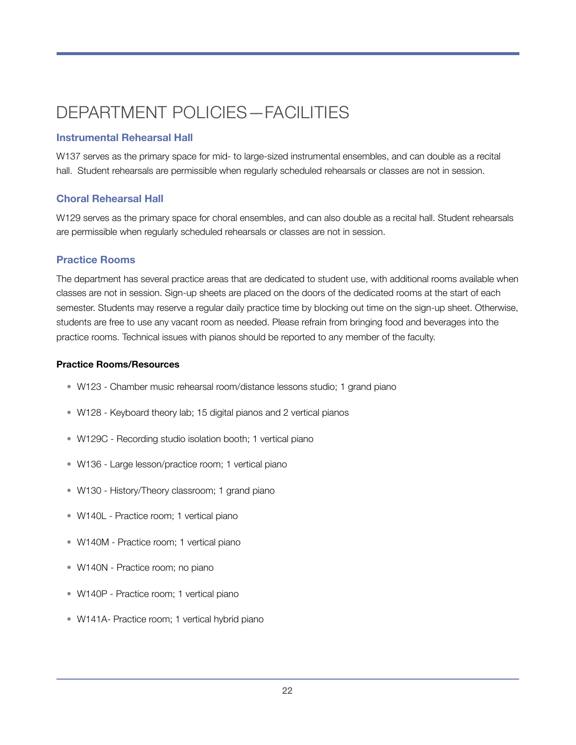# <span id="page-21-0"></span>DEPARTMENT POLICIES—FACILITIES

#### **Instrumental Rehearsal Hall**

W137 serves as the primary space for mid- to large-sized instrumental ensembles, and can double as a recital hall. Student rehearsals are permissible when regularly scheduled rehearsals or classes are not in session.

#### **Choral Rehearsal Hall**

W129 serves as the primary space for choral ensembles, and can also double as a recital hall. Student rehearsals are permissible when regularly scheduled rehearsals or classes are not in session.

#### **Practice Rooms**

The department has several practice areas that are dedicated to student use, with additional rooms available when classes are not in session. Sign-up sheets are placed on the doors of the dedicated rooms at the start of each semester. Students may reserve a regular daily practice time by blocking out time on the sign-up sheet. Otherwise, students are free to use any vacant room as needed. Please refrain from bringing food and beverages into the practice rooms. Technical issues with pianos should be reported to any member of the faculty.

#### **Practice Rooms/Resources**

- W123 Chamber music rehearsal room/distance lessons studio; 1 grand piano
- W128 Keyboard theory lab; 15 digital pianos and 2 vertical pianos
- W129C Recording studio isolation booth; 1 vertical piano
- W136 Large lesson/practice room; 1 vertical piano
- W130 History/Theory classroom; 1 grand piano
- W140L Practice room; 1 vertical piano
- W140M Practice room; 1 vertical piano
- W140N Practice room; no piano
- W140P Practice room; 1 vertical piano
- W141A- Practice room; 1 vertical hybrid piano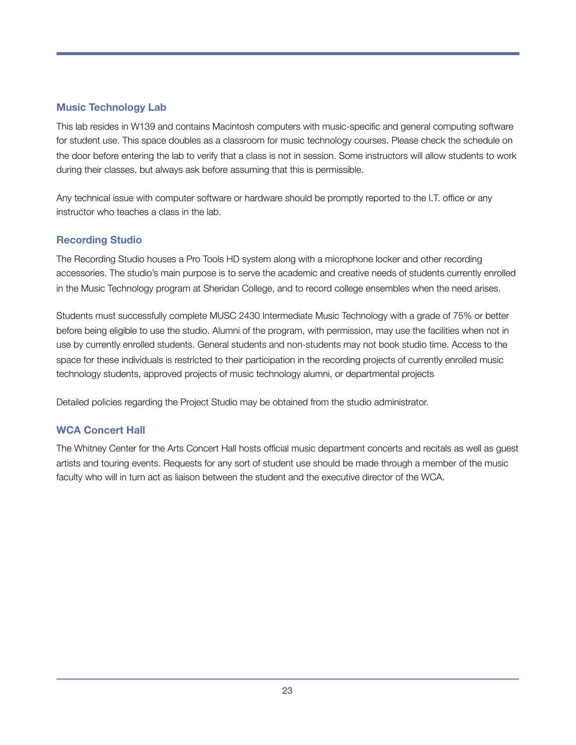#### **Music Technology Lab**

This lab resides in W139 and contains Macintosh computers with music-specific and general computing software for student use. This space doubles as a classroom for music technology courses. Please check the schedule on the door before entering the lab to verify that a class is not in session. Some instructors will allow students to work during their classes, but always ask before assuming that this is permissible.

Any technical issue with computer software or hardware should be promptly reported to the I.T. office or any instructor who teaches a class in the lab.

#### **Recording Studio**

The Recording Studio houses a Pro Tools HD system along with a microphone locker and other recording accessories. The studio's main purpose is to serve the academic and creative needs of students currently enrolled in the Music Technology program at Sheridan College, and to record college ensembles when the need arises.

Students must successfully complete MUSC 2430 Intermediate Music Technology with a grade of 75% or better before being eligible to use the studio. Alumni of the program, with permission, may use the facilities when not in use by currently enrolled students. General students and non-students may not book studio time. Access to the space for these individuals is restricted to their participation in the recording projects of currently enrolled music technology students, approved projects of music technology alumni, or departmental projects

Detailed policies regarding the Project Studio may be obtained from the studio administrator.

#### **WCA Concert Hall**

The Whitney Center for the Arts Concert Hall hosts official music department concerts and recitals as well as guest artists and touring events. Requests for any sort of student use should be made through a member of the music faculty who will in turn act as liaison between the student and the executive director of the WCA.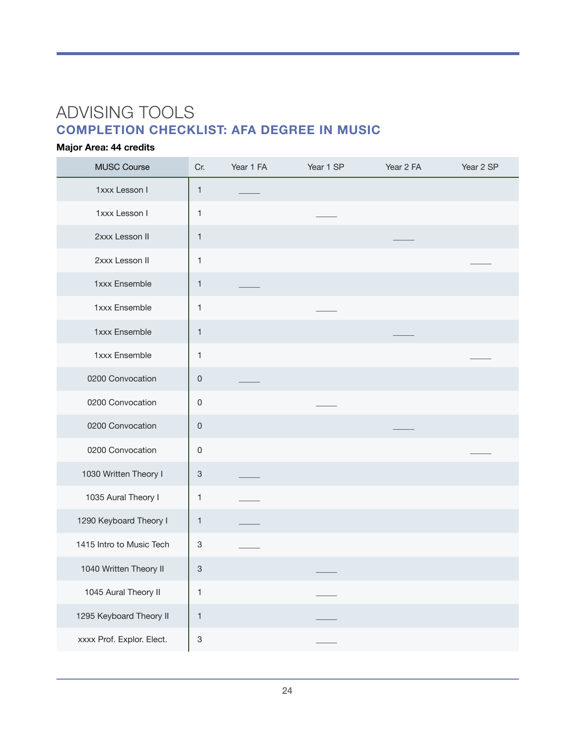# <span id="page-23-0"></span>ADVISING TOOLS **COMPLETION CHECKLIST: AFA DEGREE IN MUSIC**

### **Major Area: 44 credits**

| <b>MUSC Course</b>        | Cr.                       | Year 1 FA | Year 1 SP | Year 2 FA | Year 2 SP |
|---------------------------|---------------------------|-----------|-----------|-----------|-----------|
| 1xxx Lesson I             | $\mathbf{1}$              |           |           |           |           |
| 1xxx Lesson I             | 1                         |           |           |           |           |
| 2xxx Lesson II            | 1                         |           |           |           |           |
| 2xxx Lesson II            | 1                         |           |           |           |           |
| 1xxx Ensemble             | 1                         |           |           |           |           |
| 1xxx Ensemble             | 1                         |           |           |           |           |
| 1xxx Ensemble             | 1                         |           |           |           |           |
| 1xxx Ensemble             | 1                         |           |           |           |           |
| 0200 Convocation          | $\mathsf{O}\xspace$       |           |           |           |           |
| 0200 Convocation          | $\mathsf 0$               |           |           |           |           |
| 0200 Convocation          | $\mathsf{O}\xspace$       |           |           |           |           |
| 0200 Convocation          | $\mathsf 0$               |           |           |           |           |
| 1030 Written Theory I     | $\ensuremath{\mathsf{3}}$ |           |           |           |           |
| 1035 Aural Theory I       | 1                         |           |           |           |           |
| 1290 Keyboard Theory I    | $\mathbf{1}$              |           |           |           |           |
| 1415 Intro to Music Tech  | $\ensuremath{\mathsf{3}}$ |           |           |           |           |
| 1040 Written Theory II    | $\ensuremath{\mathsf{3}}$ |           |           |           |           |
| 1045 Aural Theory II      | 1                         |           |           |           |           |
| 1295 Keyboard Theory II   | $\mathbf{1}$              |           |           |           |           |
| xxxx Prof. Explor. Elect. | $\ensuremath{\mathsf{3}}$ |           |           |           |           |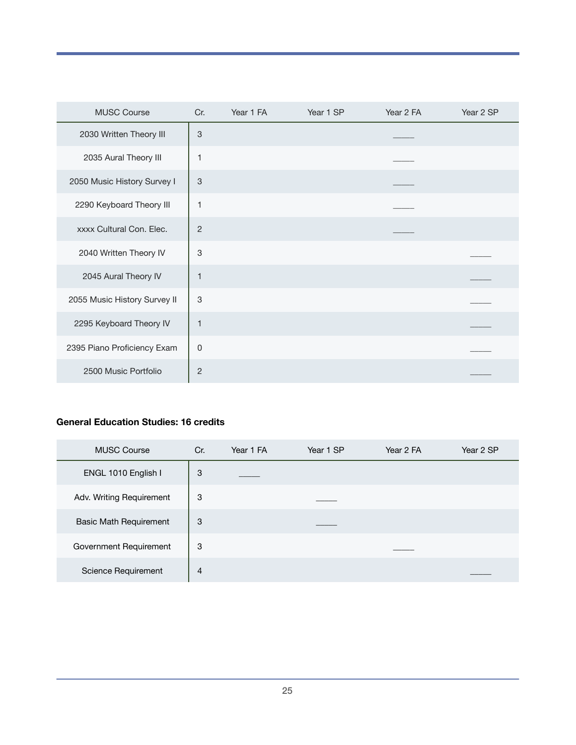| <b>MUSC Course</b>           | Cr.                       | Year 1 FA | Year 1 SP | Year 2 FA | Year 2 SP |
|------------------------------|---------------------------|-----------|-----------|-----------|-----------|
| 2030 Written Theory III      | $\mathsf 3$               |           |           |           |           |
| 2035 Aural Theory III        | 1                         |           |           |           |           |
| 2050 Music History Survey I  | $\mathsf 3$               |           |           |           |           |
| 2290 Keyboard Theory III     | 1                         |           |           |           |           |
| xxxx Cultural Con. Elec.     | $\overline{c}$            |           |           |           |           |
| 2040 Written Theory IV       | $\ensuremath{\mathsf{3}}$ |           |           |           |           |
| 2045 Aural Theory IV         | $\mathbf{1}$              |           |           |           |           |
| 2055 Music History Survey II | 3                         |           |           |           |           |
| 2295 Keyboard Theory IV      | 1                         |           |           |           |           |
| 2395 Piano Proficiency Exam  | 0                         |           |           |           |           |
| 2500 Music Portfolio         | $\overline{2}$            |           |           |           |           |

#### **General Education Studies: 16 credits**

| <b>MUSC Course</b>            | Cr.            | Year 1 FA | Year 1 SP | Year 2 FA | Year 2 SP |
|-------------------------------|----------------|-----------|-----------|-----------|-----------|
| ENGL 1010 English I           | 3              |           |           |           |           |
| Adv. Writing Requirement      | 3              |           |           |           |           |
| <b>Basic Math Requirement</b> | 3              |           |           |           |           |
| Government Requirement        | 3              |           |           |           |           |
| Science Requirement           | $\overline{4}$ |           |           |           |           |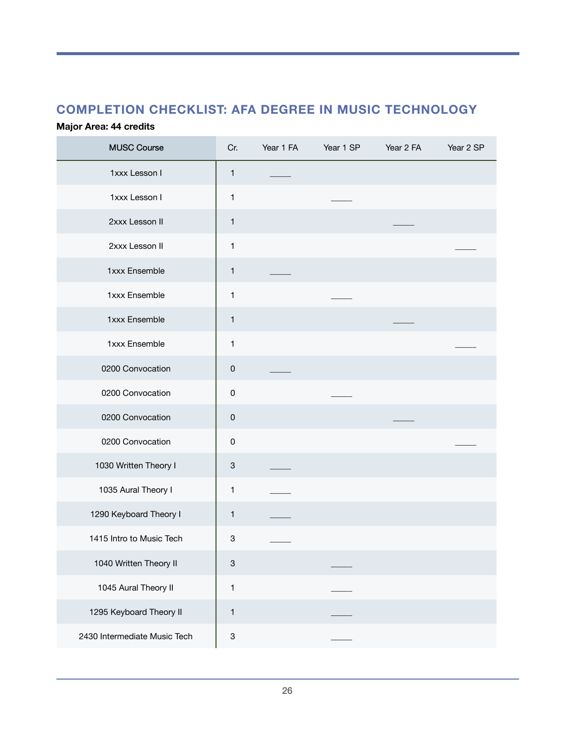# **COMPLETION CHECKLIST: AFA DEGREE IN MUSIC TECHNOLOGY**

### **Major Area: 44 credits**

| <b>MUSC Course</b>           | Cr.                       | Year 1 FA | Year 1 SP | Year 2 FA | Year 2 SP |
|------------------------------|---------------------------|-----------|-----------|-----------|-----------|
| 1xxx Lesson I                | 1                         |           |           |           |           |
| 1xxx Lesson I                | 1                         |           |           |           |           |
| 2xxx Lesson II               | 1                         |           |           |           |           |
| 2xxx Lesson II               | 1                         |           |           |           |           |
| 1xxx Ensemble                | 1                         |           |           |           |           |
| 1xxx Ensemble                | 1                         |           |           |           |           |
| 1xxx Ensemble                | $\mathbf{1}$              |           |           |           |           |
| 1xxx Ensemble                | 1                         |           |           |           |           |
| 0200 Convocation             | $\pmb{0}$                 |           |           |           |           |
| 0200 Convocation             | $\pmb{0}$                 |           |           |           |           |
| 0200 Convocation             | $\pmb{0}$                 |           |           |           |           |
| 0200 Convocation             | $\mathsf 0$               |           |           |           |           |
| 1030 Written Theory I        | 3                         |           |           |           |           |
| 1035 Aural Theory I          | 1                         |           |           |           |           |
| 1290 Keyboard Theory I       | $\mathbf{1}$              |           |           |           |           |
| 1415 Intro to Music Tech     | 3                         |           |           |           |           |
| 1040 Written Theory II       | $\ensuremath{\mathsf{3}}$ |           |           |           |           |
| 1045 Aural Theory II         | $\mathbf{1}$              |           |           |           |           |
| 1295 Keyboard Theory II      | $\mathbf{1}$              |           |           |           |           |
| 2430 Intermediate Music Tech | $\ensuremath{\mathsf{3}}$ |           |           |           |           |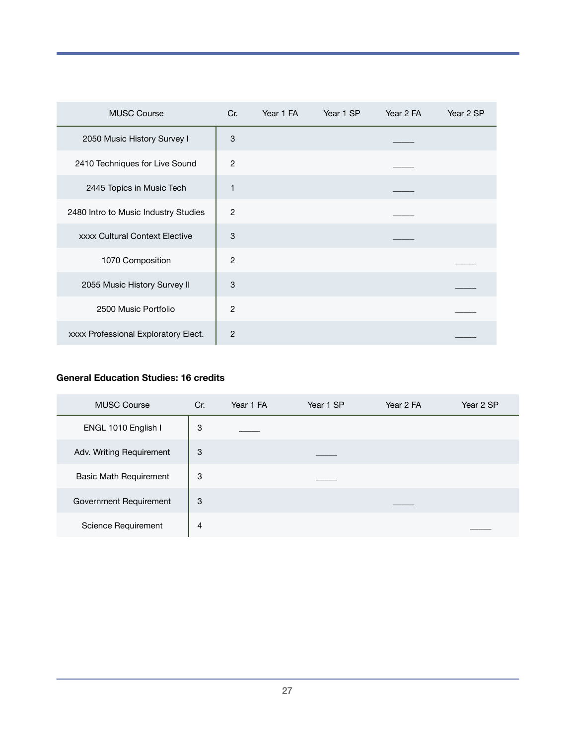| <b>MUSC Course</b>                    | Cr.            | Year 1 FA | Year 1 SP | Year 2 FA | Year 2 SP |
|---------------------------------------|----------------|-----------|-----------|-----------|-----------|
| 2050 Music History Survey I           | 3              |           |           |           |           |
| 2410 Techniques for Live Sound        | $\overline{2}$ |           |           |           |           |
| 2445 Topics in Music Tech             | 1              |           |           |           |           |
| 2480 Intro to Music Industry Studies  | 2              |           |           |           |           |
| <b>xxxx Cultural Context Elective</b> | 3              |           |           |           |           |
| 1070 Composition                      | $\overline{2}$ |           |           |           |           |
| 2055 Music History Survey II          | 3              |           |           |           |           |
| 2500 Music Portfolio                  | $\overline{2}$ |           |           |           |           |
| xxxx Professional Exploratory Elect.  | $\overline{2}$ |           |           |           |           |

### **General Education Studies: 16 credits**

| <b>MUSC Course</b>            | Cr. | Year 1 FA | Year 1 SP | Year 2 FA | Year 2 SP |
|-------------------------------|-----|-----------|-----------|-----------|-----------|
| ENGL 1010 English I           | 3   |           |           |           |           |
| Adv. Writing Requirement      | 3   |           |           |           |           |
| <b>Basic Math Requirement</b> | 3   |           |           |           |           |
| Government Requirement        | 3   |           |           |           |           |
| Science Requirement           | 4   |           |           |           |           |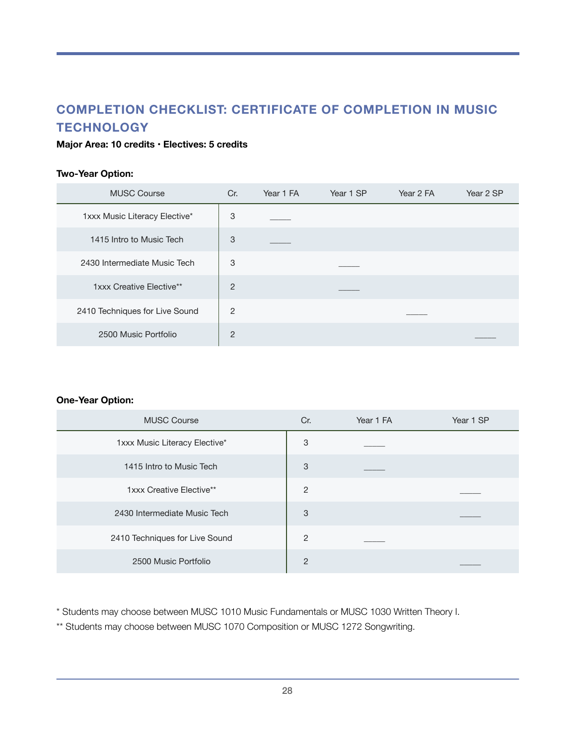# **COMPLETION CHECKLIST: CERTIFICATE OF COMPLETION IN MUSIC TECHNOLOGY**

#### **Major Area: 10 credits • Electives: 5 credits**

#### **Two-Year Option:**

| <b>MUSC Course</b>             | Cr.            | Year 1 FA | Year 1 SP | Year 2 FA | Year 2 SP |
|--------------------------------|----------------|-----------|-----------|-----------|-----------|
| 1xxx Music Literacy Elective*  | 3              |           |           |           |           |
| 1415 Intro to Music Tech       | 3              |           |           |           |           |
| 2430 Intermediate Music Tech   | 3              |           |           |           |           |
| 1xxx Creative Elective**       | $\overline{2}$ |           |           |           |           |
| 2410 Techniques for Live Sound | $\overline{2}$ |           |           |           |           |
| 2500 Music Portfolio           | $\overline{2}$ |           |           |           |           |

#### **One-Year Option:**

| <b>MUSC Course</b>             | Cr.            | Year 1 FA | Year 1 SP |
|--------------------------------|----------------|-----------|-----------|
| 1xxx Music Literacy Elective*  | 3              |           |           |
| 1415 Intro to Music Tech       | 3              |           |           |
| 1xxx Creative Elective**       | $\overline{2}$ |           |           |
| 2430 Intermediate Music Tech   | 3              |           |           |
| 2410 Techniques for Live Sound | 2              |           |           |
| 2500 Music Portfolio           | $\overline{2}$ |           |           |

\* Students may choose between MUSC 1010 Music Fundamentals or MUSC 1030 Written Theory I.

\*\* Students may choose between MUSC 1070 Composition or MUSC 1272 Songwriting.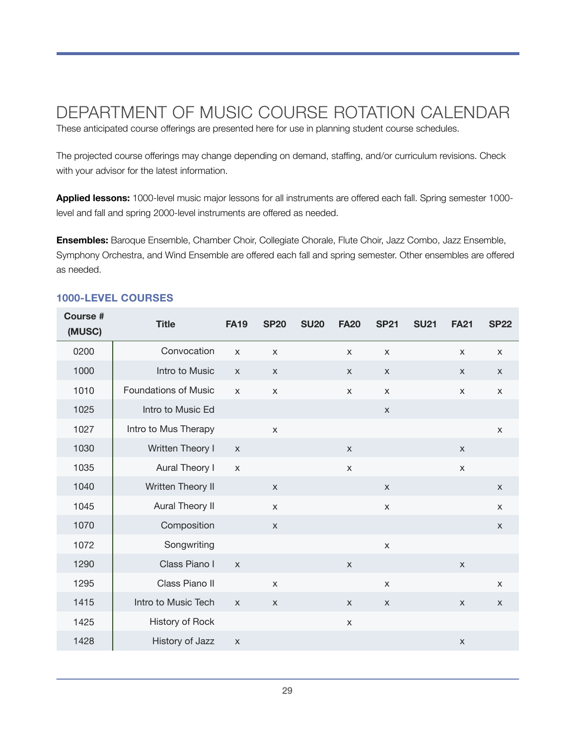# <span id="page-28-0"></span>DEPARTMENT OF MUSIC COURSE ROTATION CALENDAR

These anticipated course offerings are presented here for use in planning student course schedules.

The projected course offerings may change depending on demand, staffing, and/or curriculum revisions. Check with your advisor for the latest information.

**Applied lessons:** 1000-level music major lessons for all instruments are offered each fall. Spring semester 1000 level and fall and spring 2000-level instruments are offered as needed.

**Ensembles:** Baroque Ensemble, Chamber Choir, Collegiate Chorale, Flute Choir, Jazz Combo, Jazz Ensemble, Symphony Orchestra, and Wind Ensemble are offered each fall and spring semester. Other ensembles are offered as needed.

| <b>Course #</b><br>(MUSC) | <b>Title</b>                | <b>FA19</b>  | <b>SP20</b>    | <b>SU20</b> | <b>FA20</b>  | <b>SP21</b>    | <b>SU21</b> | <b>FA21</b>    | <b>SP22</b>  |
|---------------------------|-----------------------------|--------------|----------------|-------------|--------------|----------------|-------------|----------------|--------------|
| 0200                      | Convocation                 | $\mathsf{X}$ | X              |             | X            | $\mathsf{x}$   |             | $\times$       | $\times$     |
| 1000                      | Intro to Music              | $\mathsf{X}$ | $\mathsf{X}$   |             | X            | $\mathsf{X}$   |             | X              | $\mathsf X$  |
| 1010                      | <b>Foundations of Music</b> | $\mathsf{x}$ | $\mathsf{x}$   |             | $\mathsf{X}$ | $\pmb{\times}$ |             | $\pmb{\times}$ | $\mathsf{X}$ |
| 1025                      | Intro to Music Ed           |              |                |             |              | $\mathsf{X}$   |             |                |              |
| 1027                      | Intro to Mus Therapy        |              | $\mathsf{x}$   |             |              |                |             |                | $\mathsf{X}$ |
| 1030                      | Written Theory I            | $\mathsf{X}$ |                |             | $\times$     |                |             | $\times$       |              |
| 1035                      | Aural Theory I              | $\mathsf{x}$ |                |             | $\mathsf{X}$ |                |             | $\pmb{\times}$ |              |
| 1040                      | Written Theory II           |              | $\mathsf{X}$   |             |              | $\mathsf{X}$   |             |                | $\mathsf X$  |
| 1045                      | Aural Theory II             |              | $\pmb{\times}$ |             |              | $\pmb{\times}$ |             |                | X            |
| 1070                      | Composition                 |              | $\pmb{\times}$ |             |              |                |             |                | $\mathsf X$  |
| 1072                      | Songwriting                 |              |                |             |              | $\mathsf X$    |             |                |              |
| 1290                      | Class Piano I               | $\mathsf{x}$ |                |             | $\mathsf{X}$ |                |             | $\mathsf{X}$   |              |
| 1295                      | Class Piano II              |              | $\mathsf{x}$   |             |              | $\mathsf X$    |             |                | X            |
| 1415                      | Intro to Music Tech         | $\mathsf{x}$ | $\mathsf{X}$   |             | $\mathsf{X}$ | $\mathsf{X}$   |             | X              | $\mathsf{X}$ |
| 1425                      | History of Rock             |              |                |             | X            |                |             |                |              |
| 1428                      | History of Jazz             | $\mathsf{X}$ |                |             |              |                |             | X              |              |

#### **1000-LEVEL COURSES**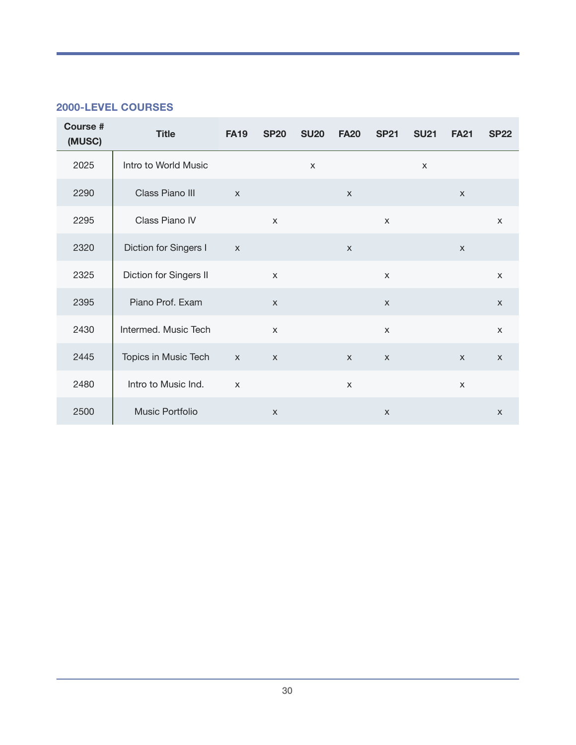### **2000-LEVEL COURSES**

| <b>Course #</b><br>(MUSC) | <b>Title</b>           | <b>FA19</b>  | <b>SP20</b>               | <b>SU20</b>               | <b>FA20</b>  | <b>SP21</b>               | <b>SU21</b>  | <b>FA21</b>               | <b>SP22</b>  |
|---------------------------|------------------------|--------------|---------------------------|---------------------------|--------------|---------------------------|--------------|---------------------------|--------------|
| 2025                      | Intro to World Music   |              |                           | $\boldsymbol{\mathsf{X}}$ |              |                           | $\mathsf{X}$ |                           |              |
| 2290                      | Class Piano III        | $\mathsf{x}$ |                           |                           | $\mathsf{X}$ |                           |              | $\boldsymbol{\mathsf{X}}$ |              |
| 2295                      | Class Piano IV         |              | $\mathsf{X}$              |                           |              | $\mathsf{x}$              |              |                           | $\mathsf{X}$ |
| 2320                      | Diction for Singers I  | $\mathsf{X}$ |                           |                           | $\mathsf{X}$ |                           |              | $\mathsf{x}$              |              |
| 2325                      | Diction for Singers II |              | $\mathsf{X}$              |                           |              | $\mathsf{x}$              |              |                           | $\mathsf{x}$ |
| 2395                      | Piano Prof. Exam       |              | $\mathsf{x}$              |                           |              | $\mathsf{x}$              |              |                           | $\mathsf{x}$ |
| 2430                      | Intermed. Music Tech   |              | $\mathsf{X}$              |                           |              | $\mathsf{x}$              |              |                           | $\mathsf{x}$ |
| 2445                      | Topics in Music Tech   | $\mathsf{X}$ | $\mathsf{X}$              |                           | $\mathsf X$  | $\mathsf{X}$              |              | $\mathsf{X}$              | $\mathsf{X}$ |
| 2480                      | Intro to Music Ind.    | $\mathsf{X}$ |                           |                           | $\mathsf{x}$ |                           |              | $\times$                  |              |
| 2500                      | Music Portfolio        |              | $\boldsymbol{\mathsf{X}}$ |                           |              | $\boldsymbol{\mathsf{X}}$ |              |                           | $\mathsf{X}$ |